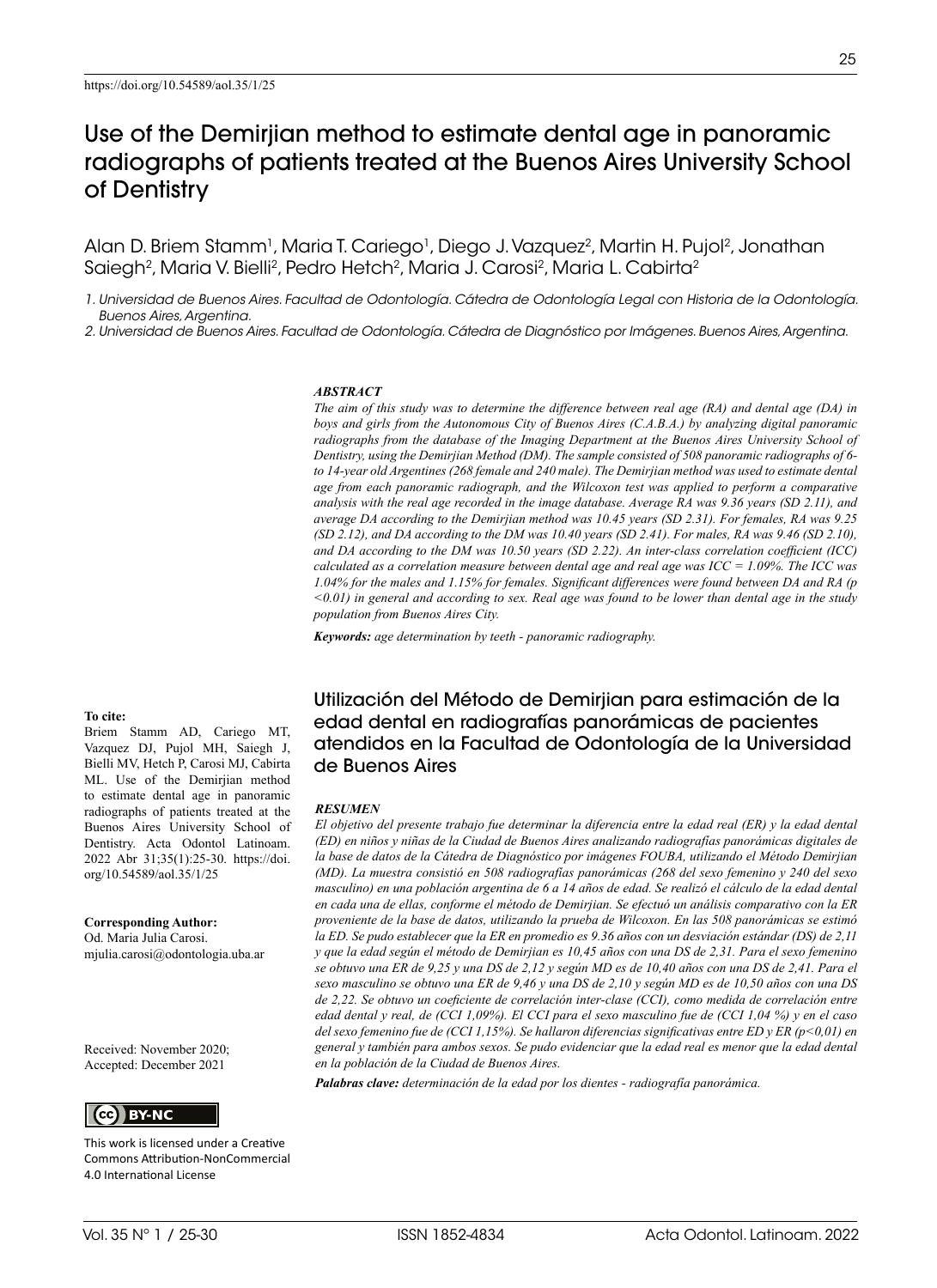Alan D. Briem Stamm<sup>1</sup>, Maria T. Cariego<sup>1</sup>, Diego J. Vazquez<sup>2</sup>, Martin H. Pujol<sup>2</sup>, Jonathan Saiegh<sup>2</sup>, Maria V. Bielli<sup>2</sup>, Pedro Hetch<sup>2</sup>, Maria J. Carosi<sup>2</sup>, Maria L. Cabirta<sup>2</sup>

*1. Universidad de Buenos Aires. Facultad de Odontología. Cátedra de Odontología Legal con Historia de la Odontología. Buenos Aires, Argentina.*

*2. Universidad de Buenos Aires. Facultad de Odontología. Cátedra de Diagnóstico por Imágenes. Buenos Aires, Argentina.*

#### *ABSTRACT*

*The aim of this study was to determine the difference between real age (RA) and dental age (DA) in boys and girls from the Autonomous City of Buenos Aires (C.A.B.A.) by analyzing digital panoramic radiographs from the database of the Imaging Department at the Buenos Aires University School of Dentistry, using the Demirjian Method (DM). The sample consisted of 508 panoramic radiographs of 6 to 14-year old Argentines (268 female and 240 male). The Demirjian method was used to estimate dental age from each panoramic radiograph, and the Wilcoxon test was applied to perform a comparative analysis with the real age recorded in the image database. Average RA was 9.36 years (SD 2.11), and average DA according to the Demirjian method was 10.45 years (SD 2.31). For females, RA was 9.25 (SD 2.12), and DA according to the DM was 10.40 years (SD 2.41). For males, RA was 9.46 (SD 2.10), and DA according to the DM was 10.50 years (SD 2.22). An inter-class correlation coefficient (ICC) calculated as a correlation measure between dental age and real age was ICC = 1.09%. The ICC was 1.04% for the males and 1.15% for females. Significant differences were found between DA and RA (p <0.01) in general and according to sex. Real age was found to be lower than dental age in the study population from Buenos Aires City.* 

*Keywords: age determination by teeth - panoramic radiography.*

**To cite:**

Briem Stamm AD, Cariego MT, Vazquez DJ, Pujol MH, Saiegh J, Bielli MV, Hetch P, Carosi MJ, Cabirta ML. Use of the Demirjian method to estimate dental age in panoramic radiographs of patients treated at the Buenos Aires University School of Dentistry. Acta Odontol Latinoam. 2022 Abr 31;35(1):25-30. https://doi. org/10.54589/aol.35/1/25

**Corresponding Author:** Od. Maria Julia Carosi.

mjulia.carosi@odontologia.uba.ar

Received: November 2020; Accepted: December 2021



This work is licensed under a Creative Commons Attribution-NonCommercial 4.0 International License

Utilización del Método de Demirjian para estimación de la edad dental en radiografías panorámicas de pacientes atendidos en la Facultad de Odontología de la Universidad de Buenos Aires

#### *RESUMEN*

*El objetivo del presente trabajo fue determinar la diferencia entre la edad real (ER) y la edad dental (ED) en niños y niñas de la Ciudad de Buenos Aires analizando radiografías panorámicas digitales de la base de datos de la Cátedra de Diagnóstico por imágenes FOUBA, utilizando el Método Demirjian (MD). La muestra consistió en 508 radiografías panorámicas (268 del sexo femenino y 240 del sexo masculino) en una población argentina de 6 a 14 años de edad. Se realizó el cálculo de la edad dental en cada una de ellas, conforme el método de Demirjian. Se efectuó un análisis comparativo con la ER proveniente de la base de datos, utilizando la prueba de Wilcoxon. En las 508 panorámicas se estimó la ED. Se pudo establecer que la ER en promedio es 9.36 años con un desviación estándar (DS) de 2,11 y que la edad según el método de Demirjian es 10,45 años con una DS de 2,31. Para el sexo femenino se obtuvo una ER de 9,25 y una DS de 2,12 y según MD es de 10,40 años con una DS de 2,41. Para el sexo masculino se obtuvo una ER de 9,46 y una DS de 2,10 y según MD es de 10,50 años con una DS de 2,22. Se obtuvo un coeficiente de correlación inter-clase (CCI), como medida de correlación entre edad dental y real, de (CCI 1,09%). El CCI para el sexo masculino fue de (CCI 1,04 %) y en el caso del sexo femenino fue de (CCI 1,15%). Se hallaron diferencias significativas entre ED y ER (p<0,01) en general y también para ambos sexos. Se pudo evidenciar que la edad real es menor que la edad dental en la población de la Ciudad de Buenos Aires.*

*Palabras clave: determinación de la edad por los dientes - radiografía panorámica.*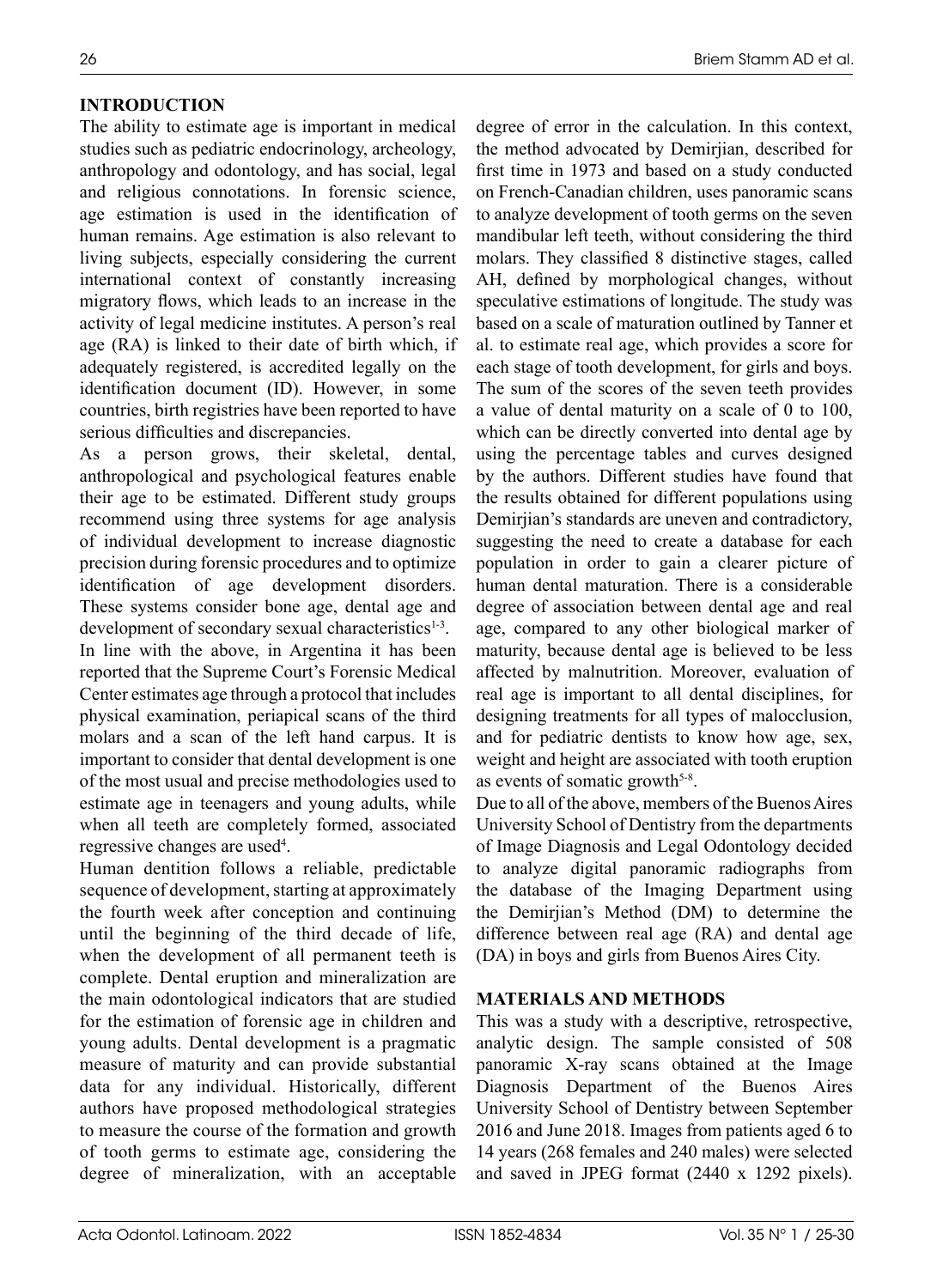The ability to estimate age is important in medical studies such as pediatric endocrinology, archeology, anthropology and odontology, and has social, legal and religious connotations. In forensic science, age estimation is used in the identification of human remains. Age estimation is also relevant to living subjects, especially considering the current international context of constantly increasing migratory flows, which leads to an increase in the activity of legal medicine institutes. A person's real age (RA) is linked to their date of birth which, if adequately registered, is accredited legally on the identification document (ID). However, in some countries, birth registries have been reported to have serious difficulties and discrepancies.

As a person grows, their skeletal, dental, anthropological and psychological features enable their age to be estimated. Different study groups recommend using three systems for age analysis of individual development to increase diagnostic precision during forensic procedures and to optimize identification of age development disorders. These systems consider bone age, dental age and development of secondary sexual characteristics<sup>1-3</sup>. In line with the above, in Argentina it has been reported that the Supreme Court's Forensic Medical Center estimates age through a protocol that includes physical examination, periapical scans of the third molars and a scan of the left hand carpus. It is important to consider that dental development is one of the most usual and precise methodologies used to estimate age in teenagers and young adults, while when all teeth are completely formed, associated regressive changes are used<sup>4</sup>.

Human dentition follows a reliable, predictable sequence of development, starting at approximately the fourth week after conception and continuing until the beginning of the third decade of life, when the development of all permanent teeth is complete. Dental eruption and mineralization are the main odontological indicators that are studied for the estimation of forensic age in children and young adults. Dental development is a pragmatic measure of maturity and can provide substantial data for any individual. Historically, different authors have proposed methodological strategies to measure the course of the formation and growth of tooth germs to estimate age, considering the degree of mineralization, with an acceptable

degree of error in the calculation. In this context, the method advocated by Demirjian, described for first time in 1973 and based on a study conducted on French-Canadian children, uses panoramic scans to analyze development of tooth germs on the seven mandibular left teeth, without considering the third molars. They classified 8 distinctive stages, called AH, defined by morphological changes, without speculative estimations of longitude. The study was based on a scale of maturation outlined by Tanner et al. to estimate real age, which provides a score for each stage of tooth development, for girls and boys. The sum of the scores of the seven teeth provides a value of dental maturity on a scale of 0 to 100, which can be directly converted into dental age by using the percentage tables and curves designed by the authors. Different studies have found that the results obtained for different populations using Demirjian's standards are uneven and contradictory, suggesting the need to create a database for each population in order to gain a clearer picture of human dental maturation. There is a considerable degree of association between dental age and real age, compared to any other biological marker of maturity, because dental age is believed to be less affected by malnutrition. Moreover, evaluation of real age is important to all dental disciplines, for designing treatments for all types of malocclusion, and for pediatric dentists to know how age, sex, weight and height are associated with tooth eruption as events of somatic growth<sup>5-8</sup>.

Due to all of the above, members of the Buenos Aires University School of Dentistry from the departments of Image Diagnosis and Legal Odontology decided to analyze digital panoramic radiographs from the database of the Imaging Department using the Demirjian's Method (DM) to determine the difference between real age (RA) and dental age (DA) in boys and girls from Buenos Aires City.

# **MATERIALS AND METHODS**

This was a study with a descriptive, retrospective, analytic design. The sample consisted of 508 panoramic X-ray scans obtained at the Image Diagnosis Department of the Buenos Aires University School of Dentistry between September 2016 and June 2018. Images from patients aged 6 to 14 years (268 females and 240 males) were selected and saved in JPEG format (2440 x 1292 pixels).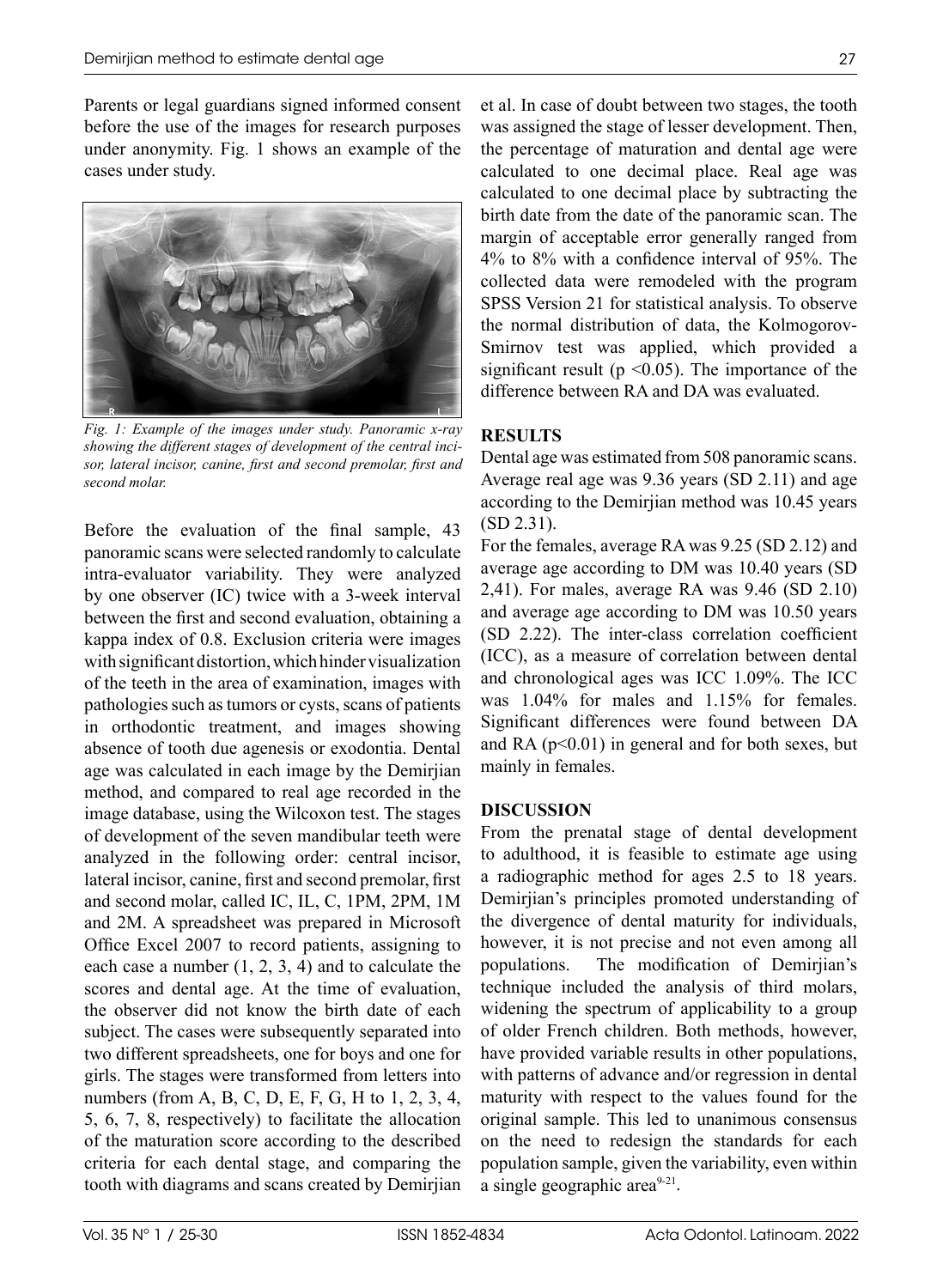Parents or legal guardians signed informed consent before the use of the images for research purposes under anonymity. Fig. 1 shows an example of the cases under study.



*Fig. 1: Example of the images under study. Panoramic x-ray showing the different stages of development of the central incisor, lateral incisor, canine, first and second premolar, first and second molar.*

Before the evaluation of the final sample, 43 panoramic scans were selected randomly to calculate intra-evaluator variability. They were analyzed by one observer (IC) twice with a 3-week interval between the first and second evaluation, obtaining a kappa index of 0.8. Exclusion criteria were images with significant distortion, which hinder visualization of the teeth in the area of examination, images with pathologies such as tumors or cysts, scans of patients in orthodontic treatment, and images showing absence of tooth due agenesis or exodontia. Dental age was calculated in each image by the Demirjian method, and compared to real age recorded in the image database, using the Wilcoxon test. The stages of development of the seven mandibular teeth were analyzed in the following order: central incisor, lateral incisor, canine, first and second premolar, first and second molar, called IC, IL, C, 1PM, 2PM, 1M and 2M. A spreadsheet was prepared in Microsoft Office Excel 2007 to record patients, assigning to each case a number (1, 2, 3, 4) and to calculate the scores and dental age. At the time of evaluation, the observer did not know the birth date of each subject. The cases were subsequently separated into two different spreadsheets, one for boys and one for girls. The stages were transformed from letters into numbers (from A, B, C, D, E, F, G, H to 1, 2, 3, 4, 5, 6, 7, 8, respectively) to facilitate the allocation of the maturation score according to the described criteria for each dental stage, and comparing the tooth with diagrams and scans created by Demirjian et al. In case of doubt between two stages, the tooth was assigned the stage of lesser development. Then, the percentage of maturation and dental age were calculated to one decimal place. Real age was calculated to one decimal place by subtracting the birth date from the date of the panoramic scan. The margin of acceptable error generally ranged from 4% to 8% with a confidence interval of 95%. The collected data were remodeled with the program SPSS Version 21 for statistical analysis. To observe the normal distribution of data, the Kolmogorov-Smirnov test was applied, which provided a significant result ( $p \le 0.05$ ). The importance of the difference between RA and DA was evaluated.

# **RESULTS**

Dental age was estimated from 508 panoramic scans. Average real age was 9.36 years (SD 2.11) and age according to the Demirjian method was 10.45 years (SD 2.31).

For the females, average RA was 9.25 (SD 2.12) and average age according to DM was 10.40 years (SD 2,41). For males, average RA was 9.46 (SD 2.10) and average age according to DM was 10.50 years (SD 2.22). The inter-class correlation coefficient (ICC), as a measure of correlation between dental and chronological ages was ICC 1.09%. The ICC was 1.04% for males and 1.15% for females. Significant differences were found between DA and RA  $(p<0.01)$  in general and for both sexes, but mainly in females.

## **DISCUSSION**

From the prenatal stage of dental development to adulthood, it is feasible to estimate age using a radiographic method for ages 2.5 to 18 years. Demirjian's principles promoted understanding of the divergence of dental maturity for individuals, however, it is not precise and not even among all populations. The modification of Demirjian's technique included the analysis of third molars, widening the spectrum of applicability to a group of older French children. Both methods, however, have provided variable results in other populations, with patterns of advance and/or regression in dental maturity with respect to the values found for the original sample. This led to unanimous consensus on the need to redesign the standards for each population sample, given the variability, even within a single geographic area $9-21$ .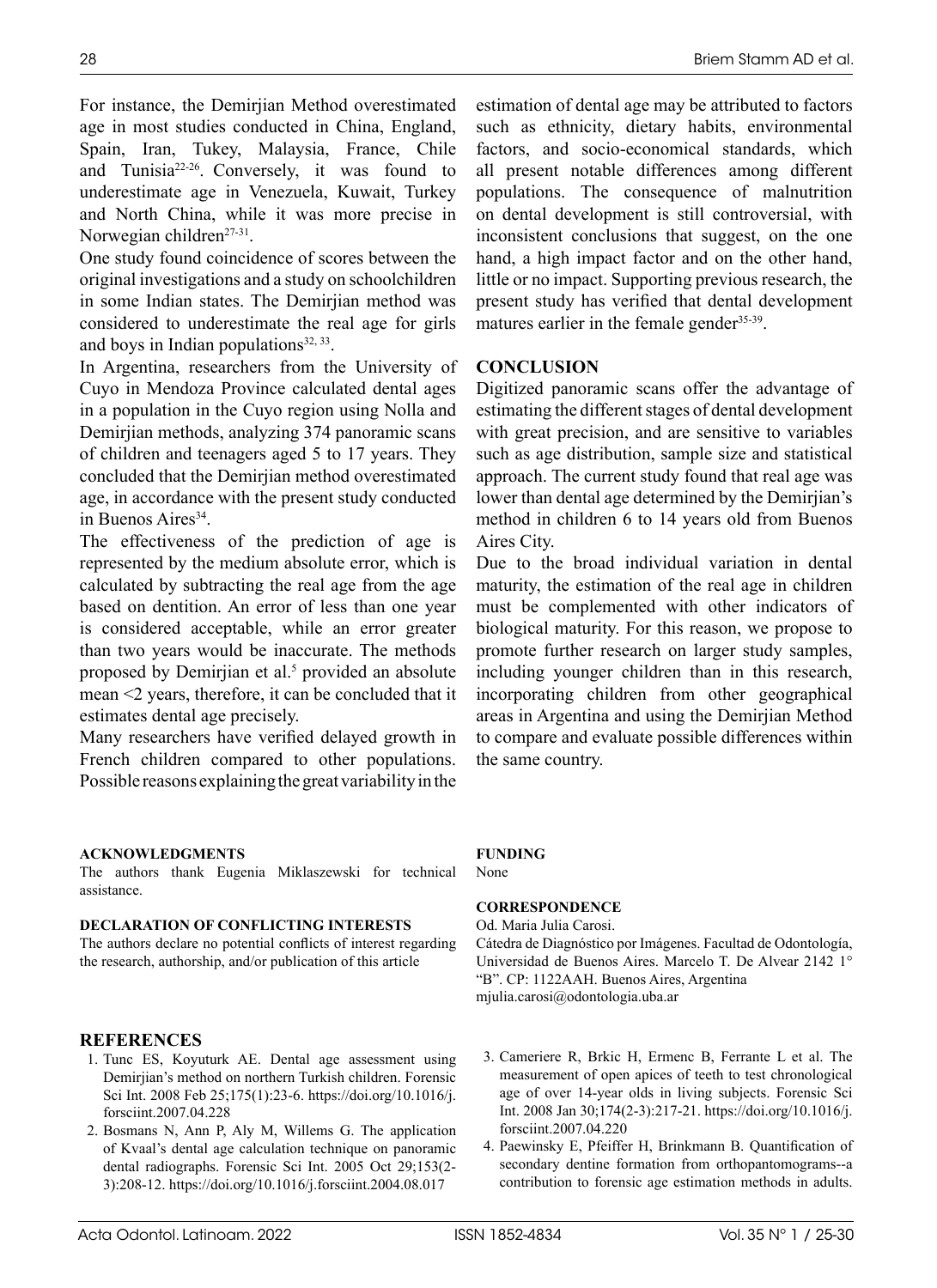28

For instance, the Demirjian Method overestimated age in most studies conducted in China, England, Spain, Iran, Tukey, Malaysia, France, Chile and Tunisia<sup>22-26</sup>. Conversely, it was found to underestimate age in Venezuela, Kuwait, Turkey and North China, while it was more precise in Norwegian children<sup>27-31</sup>.

One study found coincidence of scores between the original investigations and a study on schoolchildren in some Indian states. The Demirjian method was considered to underestimate the real age for girls and boys in Indian populations $32, 33$ .

In Argentina, researchers from the University of Cuyo in Mendoza Province calculated dental ages in a population in the Cuyo region using Nolla and Demirjian methods, analyzing 374 panoramic scans of children and teenagers aged 5 to 17 years. They concluded that the Demirjian method overestimated age, in accordance with the present study conducted in Buenos Aires $34$ .

The effectiveness of the prediction of age is represented by the medium absolute error, which is calculated by subtracting the real age from the age based on dentition. An error of less than one year is considered acceptable, while an error greater than two years would be inaccurate. The methods proposed by Demirjian et al.<sup>5</sup> provided an absolute mean <2 years, therefore, it can be concluded that it estimates dental age precisely.

Many researchers have verified delayed growth in French children compared to other populations. Possible reasons explaining the great variability in the

#### **ACKNOWLEDGMENTS**

The authors thank Eugenia Miklaszewski for technical assistance.

## **DECLARATION OF CONFLICTING INTERESTS**

The authors declare no potential conflicts of interest regarding the research, authorship, and/or publication of this article

- **REFERENCES** 1. Tunc ES, Koyuturk AE. Dental age assessment using Demirjian's method on northern Turkish children. Forensic Sci Int. 2008 Feb 25;175(1):23-6. [https://doi.org/10.1016/j.](https://doi.org/10.1016/j.forsciint.2007.04.228) [forsciint.2007.04.228](https://doi.org/10.1016/j.forsciint.2007.04.228)
- 2. Bosmans N, Ann P, Aly M, Willems G. The application of Kvaal's dental age calculation technique on panoramic dental radiographs. Forensic Sci Int. 2005 Oct 29;153(2- 3):208-12.<https://doi.org/10.1016/j.forsciint.2004.08.017>

estimation of dental age may be attributed to factors such as ethnicity, dietary habits, environmental factors, and socio-economical standards, which all present notable differences among different populations. The consequence of malnutrition on dental development is still controversial, with inconsistent conclusions that suggest, on the one hand, a high impact factor and on the other hand, little or no impact. Supporting previous research, the present study has verified that dental development matures earlier in the female gender<sup>35-39</sup>.

### **CONCLUSION**

Digitized panoramic scans offer the advantage of estimating the different stages of dental development with great precision, and are sensitive to variables such as age distribution, sample size and statistical approach. The current study found that real age was lower than dental age determined by the Demirjian's method in children 6 to 14 years old from Buenos Aires City.

Due to the broad individual variation in dental maturity, the estimation of the real age in children must be complemented with other indicators of biological maturity. For this reason, we propose to promote further research on larger study samples, including younger children than in this research, incorporating children from other geographical areas in Argentina and using the Demirjian Method to compare and evaluate possible differences within the same country.

### **FUNDING**

None

## **CORRESPONDENCE**

Od. Maria Julia Carosi. Cátedra de Diagnóstico por Imágenes. Facultad de Odontología, Universidad de Buenos Aires. Marcelo T. De Alvear 2142 1° "B". CP: 1122AAH. Buenos Aires, Argentina mjulia.carosi@odontologia.uba.ar

- 3. Cameriere R, Brkic H, Ermenc B, Ferrante L et al. The measurement of open apices of teeth to test chronological age of over 14-year olds in living subjects. Forensic Sci Int. 2008 Jan 30;174(2-3):217-21. [https://doi.org/10.1016/j.](https://doi.org/10.1016/j.forsciint.2007.04.220) [forsciint.2007.04.220](https://doi.org/10.1016/j.forsciint.2007.04.220)
- 4. Paewinsky E, Pfeiffer H, Brinkmann B. Quantification of secondary dentine formation from orthopantomograms--a contribution to forensic age estimation methods in adults.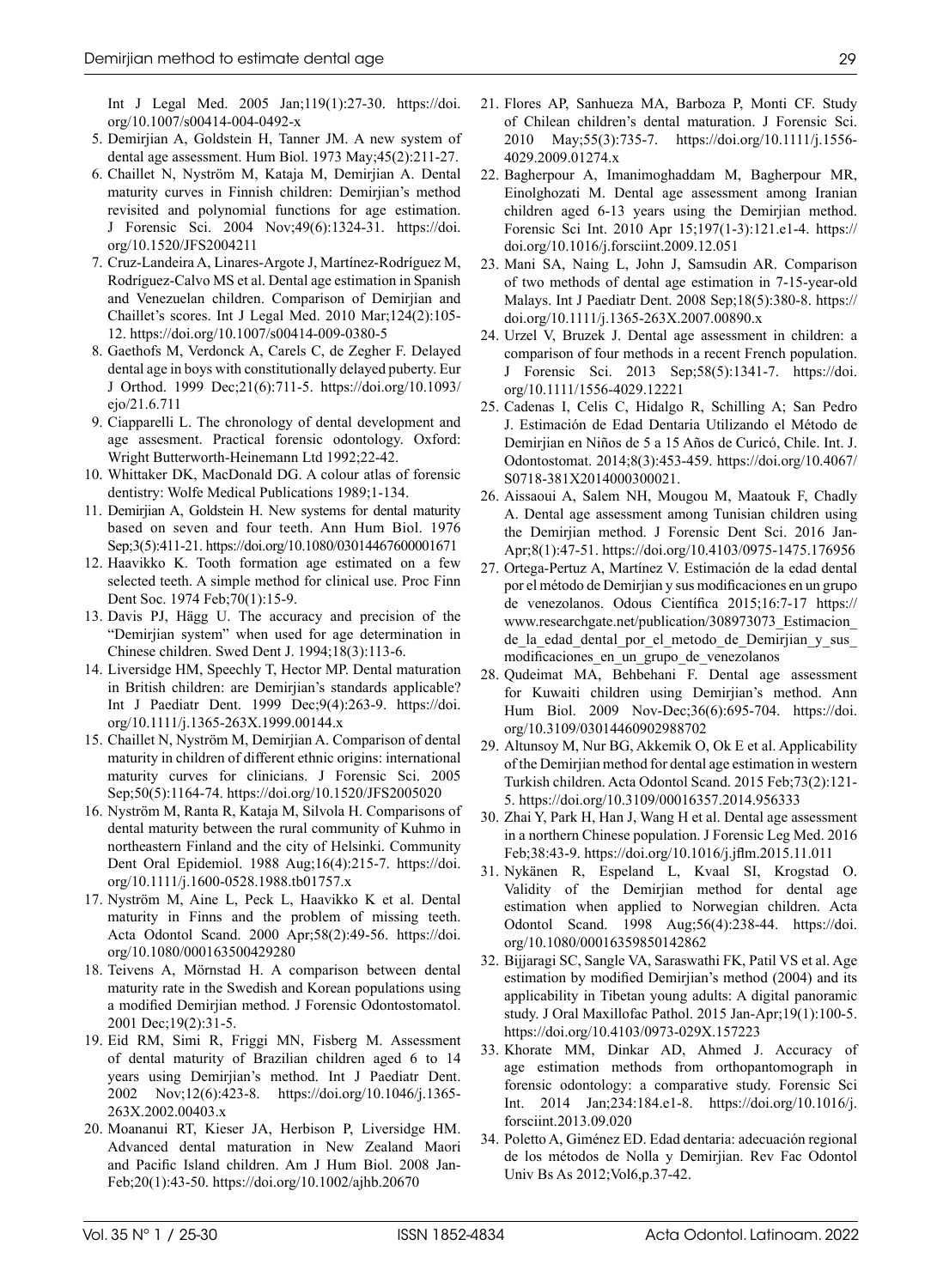Int J Legal Med. 2005 Jan;119(1):27-30. [https://doi.](https://doi.org/10.1007/s00414-004-0492-x) [org/10.1007/s00414-004-0492-x](https://doi.org/10.1007/s00414-004-0492-x)

- 5. Demirjian A, Goldstein H, Tanner JM. A new system of dental age assessment. Hum Biol. 1973 May;45(2):211-27.
- 6. Chaillet N, Nyström M, Kataja M, Demirjian A. Dental maturity curves in Finnish children: Demirjian's method revisited and polynomial functions for age estimation. J Forensic Sci. 2004 Nov;49(6):1324-31. [https://doi.](https://doi.org/10.1520/JFS2004211) [org/10.1520/JFS2004211](https://doi.org/10.1520/JFS2004211)
- 7. Cruz-Landeira A, Linares-Argote J, Martínez-Rodríguez M, Rodríguez-Calvo MS et al. Dental age estimation in Spanish and Venezuelan children. Comparison of Demirjian and Chaillet's scores. Int J Legal Med. 2010 Mar;124(2):105- 12. <https://doi.org/10.1007/s00414-009-0380-5>
- 8. Gaethofs M, Verdonck A, Carels C, de Zegher F. Delayed dental age in boys with constitutionally delayed puberty. Eur J Orthod. 1999 Dec;21(6):711-5. [https://doi.org/10.1093/](https://doi.org/10.1093/ejo/21.6.711) [ejo/21.6.711](https://doi.org/10.1093/ejo/21.6.711)
- 9. Ciapparelli L. The chronology of dental development and age assesment. Practical forensic odontology. Oxford: Wright Butterworth-Heinemann Ltd 1992;22-42.
- 10. Whittaker DK, MacDonald DG. A colour atlas of forensic dentistry: Wolfe Medical Publications 1989;1-134.
- 11. Demirjian A, Goldstein H. New systems for dental maturity based on seven and four teeth. Ann Hum Biol. 1976 Sep;3(5):411-21. <https://doi.org/10.1080/03014467600001671>
- 12. Haavikko K. Tooth formation age estimated on a few selected teeth. A simple method for clinical use. Proc Finn Dent Soc. 1974 Feb;70(1):15-9.
- 13. Davis PJ, Hägg U. The accuracy and precision of the "Demirjian system" when used for age determination in Chinese children. Swed Dent J. 1994;18(3):113-6.
- 14. Liversidge HM, Speechly T, Hector MP. Dental maturation in British children: are Demirjian's standards applicable? Int J Paediatr Dent. 1999 Dec;9(4):263-9. [https://doi.](https://doi.org/10.1111/j.1365-263X.1999.00144.x) [org/10.1111/j.1365-263X.1999.00144.x](https://doi.org/10.1111/j.1365-263X.1999.00144.x)
- 15. Chaillet N, Nyström M, Demirjian A. Comparison of dental maturity in children of different ethnic origins: international maturity curves for clinicians. J Forensic Sci. 2005 Sep;50(5):1164-74.<https://doi.org/10.1520/JFS2005020>
- 16. Nyström M, Ranta R, Kataja M, Silvola H. Comparisons of dental maturity between the rural community of Kuhmo in northeastern Finland and the city of Helsinki. Community Dent Oral Epidemiol. 1988 Aug;16(4):215-7. [https://doi.](https://doi.org/10.1111/j.1600-0528.1988.tb01757.x) [org/10.1111/j.1600-0528.1988.tb01757.x](https://doi.org/10.1111/j.1600-0528.1988.tb01757.x)
- 17. Nyström M, Aine L, Peck L, Haavikko K et al. Dental maturity in Finns and the problem of missing teeth. Acta Odontol Scand. 2000 Apr;58(2):49-56. [https://doi.](https://doi.org/10.1080/000163500429280) [org/10.1080/000163500429280](https://doi.org/10.1080/000163500429280)
- 18. Teivens A, Mörnstad H. A comparison between dental maturity rate in the Swedish and Korean populations using a modified Demirjian method. J Forensic Odontostomatol. 2001 Dec;19(2):31-5.
- 19. Eid RM, Simi R, Friggi MN, Fisberg M. Assessment of dental maturity of Brazilian children aged 6 to 14 years using Demirjian's method. Int J Paediatr Dent. 2002 Nov;12(6):423-8. [https://doi.org/10.1046/j.1365-](https://doi.org/10.1046/j.1365-263X.2002.00403.x) [263X.2002.00403.x](https://doi.org/10.1046/j.1365-263X.2002.00403.x)
- 20. Moananui RT, Kieser JA, Herbison P, Liversidge HM. Advanced dental maturation in New Zealand Maori and Pacific Island children. Am J Hum Biol. 2008 Jan-Feb;20(1):43-50. https://doi.org/10.1002/ajhb.20670
- 21. Flores AP, Sanhueza MA, Barboza P, Monti CF. Study of Chilean children's dental maturation. J Forensic Sci. 2010 May;55(3):735-7. [https://doi.org/10.1111/j.1556-](https://doi.org/10.1111/j.1556-4029.2009.01274.x) [4029.2009.01274.x](https://doi.org/10.1111/j.1556-4029.2009.01274.x)
- 22. Bagherpour A, Imanimoghaddam M, Bagherpour MR, Einolghozati M. Dental age assessment among Iranian children aged 6-13 years using the Demirjian method. Forensic Sci Int. 2010 Apr 15;197(1-3):121.e1-4. [https://](https://doi.org/10.1016/j.forsciint.2009.12.051) [doi.org/10.1016/j.forsciint.2009.12.051](https://doi.org/10.1016/j.forsciint.2009.12.051)
- 23. Mani SA, Naing L, John J, Samsudin AR. Comparison of two methods of dental age estimation in 7-15-year-old Malays. Int J Paediatr Dent. 2008 Sep;18(5):380-8. [https://](https://doi.org/10.1111/j.1365-263X.2007.00890.x) [doi.org/10.1111/j.1365-263X.2007.00890.x](https://doi.org/10.1111/j.1365-263X.2007.00890.x)
- 24. Urzel V, Bruzek J. Dental age assessment in children: a comparison of four methods in a recent French population. J Forensic Sci. 2013 Sep;58(5):1341-7. [https://doi.](https://doi.org/10.1111/1556-4029.12221) [org/10.1111/1556-4029.12221](https://doi.org/10.1111/1556-4029.12221)
- 25. Cadenas I, Celis C, Hidalgo R, Schilling A; San Pedro J. Estimación de Edad Dentaria Utilizando el Método de Demirjian en Niños de 5 a 15 Años de Curicó, Chile. Int. J. Odontostomat. 2014;8(3):453-459. [https://doi.org/10.4067/](https://doi.org/10.4067/S0718-381X2014000300021) [S0718-381X2014000300021.](https://doi.org/10.4067/S0718-381X2014000300021)
- 26. Aissaoui A, Salem NH, Mougou M, Maatouk F, Chadly A. Dental age assessment among Tunisian children using the Demirjian method. J Forensic Dent Sci. 2016 Jan-Apr;8(1):47-51. https://doi.org/10.4103/0975-1475.176956
- 27. Ortega-Pertuz A, Martínez V. Estimación de la edad dental por el método de Demirjian y sus modificaciones en un grupo de venezolanos. Odous Científica 2015;16:7-17 [https://](https://www.researchgate.net/publication/308973073_Estimacion_de_la_edad_dental_por_el_metodo_de_Dem) [www.researchgate.net/publication/308973073\\_Estimacion\\_](https://www.researchgate.net/publication/308973073_Estimacion_de_la_edad_dental_por_el_metodo_de_Dem) de la edad dental por el metodo de Demirjian y sus [modificaciones\\_en\\_un\\_grupo\\_de\\_venezolanos](https://www.researchgate.net/publication/308973073_Estimacion_de_la_edad_dental_por_el_metodo_de_Dem)
- 28. Qudeimat MA, Behbehani F. Dental age assessment for Kuwaiti children using Demirjian's method. Ann Hum Biol. 2009 Nov-Dec;36(6):695-704. [https://doi.](https://doi.org/10.3109/03014460902988702) [org/10.3109/03014460902988702](https://doi.org/10.3109/03014460902988702)
- 29. Altunsoy M, Nur BG, Akkemik O, Ok E et al. Applicability of the Demirjian method for dental age estimation in western Turkish children. Acta Odontol Scand. 2015 Feb;73(2):121- 5.<https://doi.org/10.3109/00016357.2014.956333>
- 30. Zhai Y, Park H, Han J, Wang H et al. Dental age assessment in a northern Chinese population. J Forensic Leg Med. 2016 Feb;38:43-9. https://doi.org/10.1016/j.jflm.2015.11.011
- 31. Nykänen R, Espeland L, Kvaal SI, Krogstad O. Validity of the Demirjian method for dental age estimation when applied to Norwegian children. Acta Odontol Scand. 1998 Aug;56(4):238-44. [https://doi.](https://doi.org/10.1080/00016359850142862) [org/10.1080/00016359850142862](https://doi.org/10.1080/00016359850142862)
- 32. Bijjaragi SC, Sangle VA, Saraswathi FK, Patil VS et al. Age estimation by modified Demirjian's method (2004) and its applicability in Tibetan young adults: A digital panoramic study. J Oral Maxillofac Pathol. 2015 Jan-Apr;19(1):100-5. <https://doi.org/10.4103/0973-029X.157223>
- 33. Khorate MM, Dinkar AD, Ahmed J. Accuracy of age estimation methods from orthopantomograph in forensic odontology: a comparative study. Forensic Sci Int. 2014 Jan;234:184.e1-8. [https://doi.org/10.1016/j.](https://doi.org/10.1016/j.forsciint.2013.09.020) [forsciint.2013.09.020](https://doi.org/10.1016/j.forsciint.2013.09.020)
- 34. Poletto A, Giménez ED. Edad dentaria: adecuación regional de los métodos de Nolla y Demirjian. Rev Fac Odontol Univ Bs As 2012;Vol6,p.37-42.